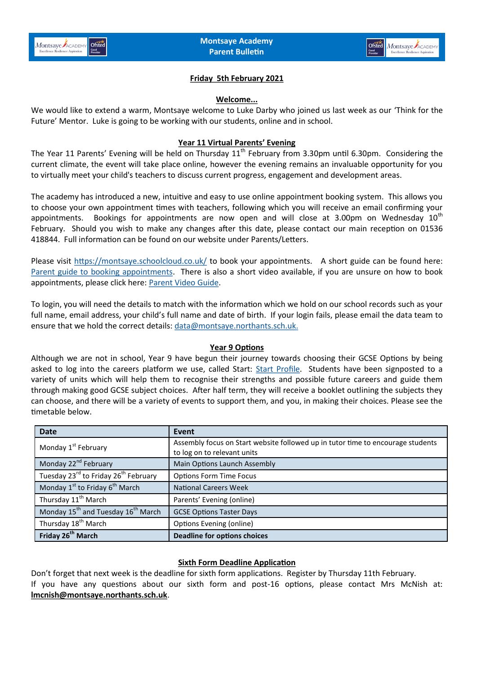

# **Friday 5th February 2021**

#### **Welcome...**

We would like to extend a warm, Montsaye welcome to Luke Darby who joined us last week as our 'Think for the Future' Mentor. Luke is going to be working with our students, online and in school.

### **Year 11 Virtual Parents' Evening**

The Year 11 Parents' Evening will be held on Thursday 11<sup>th</sup> February from 3.30pm until 6.30pm. Considering the current climate, the event will take place online, however the evening remains an invaluable opportunity for you to virtually meet your child's teachers to discuss current progress, engagement and development areas.

The academy has introduced a new, intuitive and easy to use online appointment booking system. This allows you to choose your own appointment times with teachers, following which you will receive an email confirming your appointments. Bookings for appointments are now open and will close at 3.00pm on Wednesday  $10<sup>th</sup>$ February. Should you wish to make any changes after this date, please contact our main reception on 01536 418844. Full information can be found on our website under Parents/Letters.

Please visit <https://montsaye.schoolcloud.co.uk/> to book your appointments. A short guide can be found here: [Parent guide to booking appointments.](https://www.montsaye.northants.sch.uk/assets/Documents/Newsletters/Parent-Guide-Booking-School-Cloud-Appointments.pdf) There is also a short video available, if you are unsure on how to book appointments, please click here: [Parent Video Guide.](https://support.parentseveningsystem.co.uk/article/801-video-parents-how-to-attend-appointments-over-video-call)

To login, you will need the details to match with the information which we hold on our school records such as your full name, email address, your child's full name and date of birth. If your login fails, please email the data team to ensure that we hold the correct details: [data@montsaye.northants.sch.uk.](mailto:data@montsaye.northants.sch.uk)

### **Year 9 Options**

Although we are not in school, Year 9 have begun their journey towards choosing their GCSE Options by being asked to log into the careers platform we use, called Start: [Start Profile.](https://www.startprofile.com/) Students have been signposted to a variety of units which will help them to recognise their strengths and possible future careers and guide them through making good GCSE subject choices. After half term, they will receive a booklet outlining the subjects they can choose, and there will be a variety of events to support them, and you, in making their choices. Please see the timetable below.

| <b>Date</b>                                                  | Event                                                                                                          |
|--------------------------------------------------------------|----------------------------------------------------------------------------------------------------------------|
| Monday 1 <sup>st</sup> February                              | Assembly focus on Start website followed up in tutor time to encourage students<br>to log on to relevant units |
| Monday 22 <sup>nd</sup> February                             | Main Options Launch Assembly                                                                                   |
| Tuesday 23 <sup>rd</sup> to Friday 26 <sup>th</sup> February | <b>Options Form Time Focus</b>                                                                                 |
| Monday $1^{st}$ to Friday $6^{th}$ March                     | <b>National Careers Week</b>                                                                                   |
| Thursday 11 <sup>th</sup> March                              | Parents' Evening (online)                                                                                      |
| Monday 15 <sup>th</sup> and Tuesday 16 <sup>th</sup> March   | <b>GCSE Options Taster Days</b>                                                                                |
| Thursday 18 <sup>th</sup> March                              | Options Evening (online)                                                                                       |
| Friday 26 <sup>th</sup> March                                | <b>Deadline for options choices</b>                                                                            |

### **Sixth Form Deadline Application**

Don't forget that next week is the deadline for sixth form applications. Register by Thursday 11th February. If you have any questions about our sixth form and post-16 options, please contact Mrs McNish at: **[lmcnish@montsaye.northants.sch.uk](mailto:lmcnish@montsaye.northants.sch.uk)**.